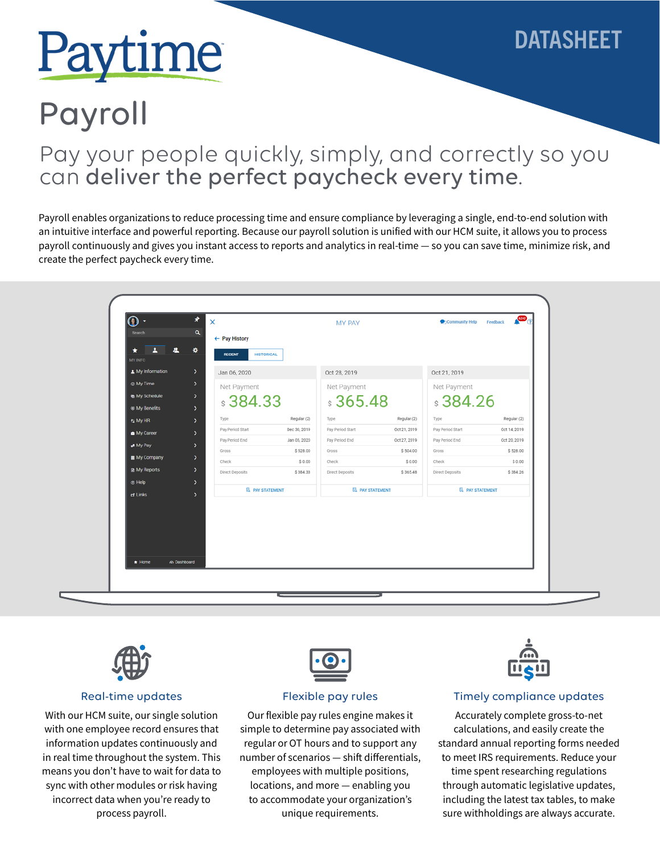# Paytime

# DATASHEET

# Payroll

## Pay your people quickly, simply, and correctly so you can deliver the perfect paycheck every time.

Payroll enables organizations to reduce processing time and ensure compliance by leveraging a single, end-to-end solution with an intuitive interface and powerful reporting. Because our payroll solution is unified with our HCM suite, it allows you to process payroll continuously and gives you instant access to reports and analytics in real-time — so you can save time, minimize risk, and create the perfect paycheck every time.

| $\circ$<br>∗                      |                                                | $\times$<br>MY PAY                 |                    |                          | $\mathbb{R}^n$<br>Community Help Feedback |                          |                    |
|-----------------------------------|------------------------------------------------|------------------------------------|--------------------|--------------------------|-------------------------------------------|--------------------------|--------------------|
| Search                            | Q                                              | ← Pay History                      |                    |                          |                                           |                          |                    |
| <b>MY INFO</b>                    | ∗                                              | <b>HISTORICAL</b><br><b>RECENT</b> |                    |                          |                                           |                          |                    |
| A My Information                  | ×                                              | Jan 06, 2020                       |                    | Oct 28, 2019             |                                           | Oct 21, 2019             |                    |
| @ My Time                         | $\rightarrow$                                  | Net Payment                        |                    | Net Payment              |                                           | Net Payment              |                    |
| My Schedule                       | $\rightarrow$                                  | \$384.33                           |                    | \$365.48                 |                                           | \$384.26                 |                    |
| <b><math>@</math> My Benefits</b> | $\mathbf{v}$                                   |                                    |                    |                          |                                           |                          |                    |
| <b>62 My HR</b>                   | $\rightarrow$                                  | Type                               | Regular (2)        | Type                     | Regular (2)                               | Type                     | Regular (2)        |
| My Career                         | $\rightarrow$                                  | Pay Period Start                   | Dec 30, 2019       | Pay Period Start         | Oct 21, 2019                              | Pay Period Start         | Oct 14, 2019       |
| My Pay                            | $\rightarrow$                                  | Pay Period End                     | Jan 05, 2020       | Pay Period End           | Oct 27, 2019                              | Pay Period End           | Oct 20, 2019       |
| My Company                        | >                                              | Gross                              | \$528.00           | Gross                    | \$504.00                                  | Gross                    | \$528.00           |
| <b>A</b> My Reports               |                                                |                                    |                    |                          |                                           |                          |                    |
| $①$ Help                          |                                                |                                    |                    |                          |                                           |                          |                    |
| d' Links                          |                                                | <b>EL PAY STATEMENT</b>            |                    | <b>EL PAY STATEMENT</b>  |                                           | <b>EL PAY STATEMENT</b>  |                    |
|                                   | $\rightarrow$<br>$\rightarrow$<br>$\mathbf{v}$ | Check<br>Direct Deposits           | \$0.00<br>\$384.33 | Check<br>Direct Deposits | \$0.00<br>\$365.48                        | Check<br>Direct Deposits | \$0.00<br>\$384.26 |
| $m$ Home                          | m Dashboard                                    |                                    |                    |                          |                                           |                          |                    |



#### Real-time updates

With our HCM suite, our single solution with one employee record ensures that information updates continuously and in real time throughout the system. This means you don't have to wait for data to sync with other modules or risk having incorrect data when you're ready to process payroll.



#### Flexible pay rules

Our flexible pay rules engine makes it simple to determine pay associated with regular or OT hours and to support any number of scenarios — shift differentials, employees with multiple positions, locations, and more — enabling you to accommodate your organization's unique requirements.



#### Timely compliance updates

Accurately complete gross-to-net calculations, and easily create the standard annual reporting forms needed to meet IRS requirements. Reduce your time spent researching regulations through automatic legislative updates, including the latest tax tables, to make sure withholdings are always accurate.